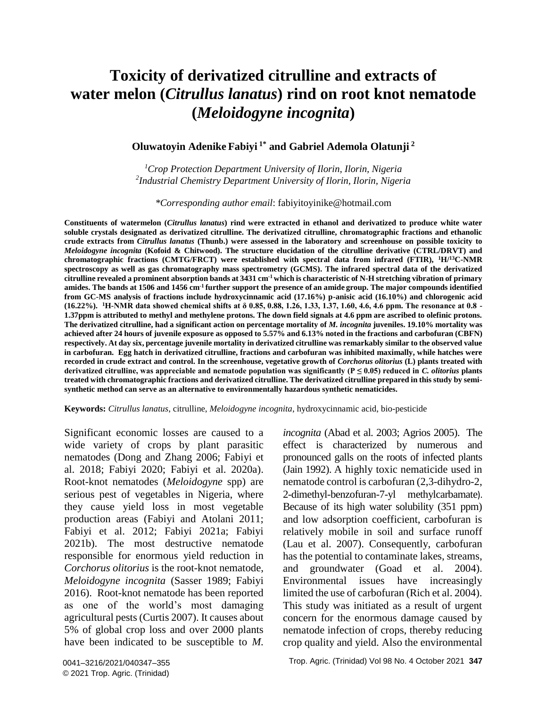# **Toxicity of derivatized citrulline and extracts of water melon (***Citrullus lanatus***) rind on root knot nematode (***Meloidogyne incognita***)**

#### **Oluwatoyin Adenike Fabiyi 1\* and Gabriel Ademola Olatunji <sup>2</sup>**

*<sup>1</sup>Crop Protection Department University of Ilorin, Ilorin, Nigeria 2 Industrial Chemistry Department University of Ilorin, Ilorin, Nigeria*

*\*Corresponding author email*: [fabiyitoyinike@hotmail.com](mailto:fabiyitoyinike@hotmail.com)

**Constituents of watermelon (***Citrullus lanatus***) rind were extracted in ethanol and derivatized to produce white water soluble crystals designated as derivatized citrulline. The derivatized citrulline, chromatographic fractions and ethanolic crude extracts from** *Citrullus lanatus* **(Thunb.) were assessed in the laboratory and screenhouse on possible toxicity to**  *Meloidogyne incognita* **(Kofoid & Chitwood). The structure elucidation of the citrulline derivative (CTRL/DRVT) and chromatographic fractions (CMTG/FRCT) were established with spectral data from infrared (FTIR), <sup>1</sup>H/<sup>13</sup>C-NMR spectroscopy as well as gas chromatography mass spectrometry (GCMS). The infrared spectral data of the derivatized citrulline revealed a prominent absorption bands at 3431 cm-1 which is characteristic of N-H stretching vibration of primary amides. The bands at 1506 and 1456 cm-1 further support the presence of an amide group. The major compounds identified from GC-MS analysis of fractions include hydroxycinnamic acid (17.16%) p-anisic acid (16.10%) and chlorogenic acid (16.22%). <sup>1</sup>H-NMR data showed chemical shifts at δ 0.85, 0.88, 1.26, 1.33, 1.37, 1.60, 4.6, 4.6 ppm. The resonance at 0.8 - 1.37ppm is attributed to methyl and methylene protons. The down field signals at 4.6 ppm are ascribed to olefinic protons. The derivatized citrulline, had a significant action on percentage mortality of** *M. incognita* **juveniles. 19.10% mortality was achieved after 24 hours of juvenile exposure as opposed to 5.57% and 6.13% noted in the fractions and carbofuran (CBFN) respectively. At day six, percentage juvenile mortality in derivatized citrulline was remarkably similar to the observed value in carbofuran. Egg hatch in derivatized citrulline, fractions and carbofuran was inhibited maximally, while hatches were**  recorded in crude extract and control. In the screenhouse, vegetative growth of *Corchorus olitorius* (L) plants treated with **derivatized citrulline, was appreciable and nematode population was significantly (P ≤ 0.05) reduced in** *C. olitorius* **plants treated with chromatographic fractions and derivatized citrulline. The derivatized citrulline prepared in this study by semisynthetic method can serve as an alternative to environmentally hazardous synthetic nematicides.** 

**Keywords:** *Citrullus lanatus*, citrulline, *Meloidogyne incognita*, hydroxycinnamic acid, bio-pesticide

Significant economic losses are caused to a wide variety of crops by plant parasitic nematodes (Dong and Zhang 2006; Fabiyi et al. 2018; Fabiyi 2020; Fabiyi et al. 2020a). Root-knot nematodes (*Meloidogyne* spp) are serious pest of vegetables in Nigeria, where they cause yield loss in most vegetable production areas (Fabiyi and Atolani 2011; Fabiyi et al. 2012; Fabiyi 2021a; Fabiyi 2021b). The most destructive nematode responsible for enormous yield reduction in *Corchorus olitorius* is the root-knot nematode, *Meloidogyne incognita* (Sasser 1989; Fabiyi 2016). Root-knot nematode has been reported as one of the world's most damaging agricultural pests (Curtis 2007). It causes about 5% of global crop loss and over 2000 plants have been indicated to be susceptible to *M.* 

*incognita* (Abad et al. 2003; Agrios 2005). The effect is characterized by numerous and pronounced galls on the roots of infected plants (Jain 1992). A highly toxic nematicide used in nematode control is carbofuran (2,3-dihydro-2, 2-dimethyl-benzofuran-7-yl methylcarbamate). Because of its high water solubility (351 ppm) and low adsorption coefficient, carbofuran is relatively mobile in soil and surface runoff (Lau et al. 2007). Consequently, carbofuran has the potential to contaminate lakes, streams, and groundwater (Goad et al. 2004). Environmental issues have increasingly limited the use of carbofuran (Rich et al. 2004). This study was initiated as a result of urgent concern for the enormous damage caused by nematode infection of crops, thereby reducing crop quality and yield. Also the environmental

Trop. Agric. (Trinidad) Vol 98 No. 4 October 2021 **347**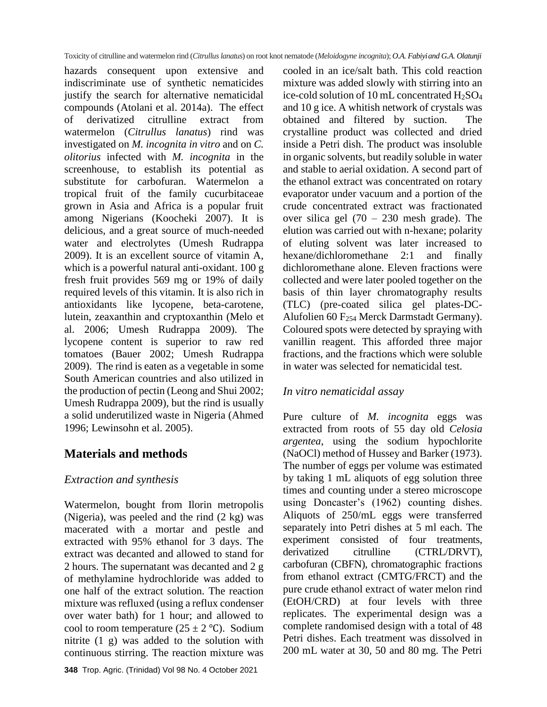hazards consequent upon extensive and indiscriminate use of synthetic nematicides justify the search for alternative nematicidal compounds (Atolani et al. 2014a). The effect of derivatized citrulline extract from watermelon (*Citrullus lanatus*) rind was investigated on *M. incognita in vitro* and on *C. olitorius* infected with *M. incognita* in the screenhouse, to establish its potential as substitute for carbofuran. Watermelon a tropical fruit of the family cucurbitaceae grown in Asia and Africa is a popular fruit among Nigerians (Koocheki 2007). It is delicious, and a great source of much-needed water and electrolytes (Umesh Rudrappa 2009). It is an excellent source of vitamin A, which is a powerful natural anti-oxidant. 100 g fresh fruit provides 569 mg or 19% of daily required levels of this vitamin. It is also rich in antioxidants like lycopene, [beta-carotene,](http://www.nutrition-and-you.com/beta-carotene.html) lutein, zeaxanthin and cryptoxanthin (Melo et al. 2006; Umesh Rudrappa 2009). The lycopene content is superior to raw red tomatoes (Bauer 2002; Umesh Rudrappa 2009). The rind is eaten as a vegetable in some South American countries and also utilized in the production of pectin (Leong and Shui 2002; Umesh Rudrappa 2009), but the rind is usually a solid underutilized waste in Nigeria (Ahmed 1996; Lewinsohn et al. 2005).

# **Materials and methods**

## *Extraction and synthesis*

Watermelon, bought from Ilorin metropolis (Nigeria), was peeled and the rind (2 kg) was macerated with a mortar and pestle and extracted with 95% ethanol for 3 days. The extract was decanted and allowed to stand for 2 hours. The supernatant was decanted and 2 g of methylamine hydrochloride was added to one half of the extract solution. The reaction mixture was refluxed (using a reflux condenser over water bath) for 1 hour; and allowed to cool to room temperature ( $25 \pm 2$  °C). Sodium nitrite (1 g) was added to the solution with continuous stirring. The reaction mixture was cooled in an ice/salt bath. This cold reaction mixture was added slowly with stirring into an ice-cold solution of 10 mL concentrated H2SO<sup>4</sup> and 10 g ice. A whitish network of crystals was obtained and filtered by suction. The crystalline product was collected and dried inside a Petri dish. The product was insoluble in organic solvents, but readily soluble in water and stable to aerial oxidation. A second part of the ethanol extract was concentrated on rotary evaporator under vacuum and a portion of the crude concentrated extract was fractionated over silica gel (70 – 230 mesh grade). The elution was carried out with n-hexane; polarity of eluting solvent was later increased to hexane/dichloromethane 2:1 and finally dichloromethane alone. Eleven fractions were collected and were later pooled together on the basis of thin layer chromatography results (TLC) (pre-coated silica gel plates-DC-Alufolien 60 F<sup>254</sup> Merck Darmstadt Germany). Coloured spots were detected by spraying with vanillin reagent. This afforded three major fractions, and the fractions which were soluble in water was selected for nematicidal test.

### *In vitro nematicidal assay*

Pure culture of *M. incognita* eggs was extracted from roots of 55 day old *Celosia argentea*, using the sodium hypochlorite (NaOCl) method of Hussey and Barker (1973). The number of eggs per volume was estimated by taking 1 mL aliquots of egg solution three times and counting under a stereo microscope using Doncaster's (1962) counting dishes. Aliquots of 250/mL eggs were transferred separately into Petri dishes at 5 ml each. The experiment consisted of four treatments, derivatized citrulline (CTRL/DRVT), carbofuran (CBFN), chromatographic fractions from ethanol extract (CMTG/FRCT) and the pure crude ethanol extract of water melon rind (EtOH/CRD) at four levels with three replicates. The experimental design was a complete randomised design with a total of 48 Petri dishes. Each treatment was dissolved in 200 mL water at 30, 50 and 80 mg. The Petri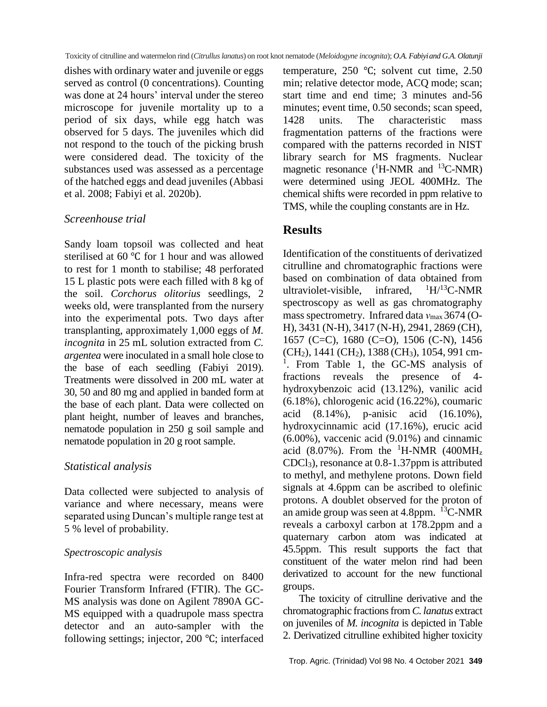dishes with ordinary water and juvenile or eggs served as control (0 concentrations). Counting was done at 24 hours' interval under the stereo microscope for juvenile mortality up to a period of six days, while egg hatch was observed for 5 days. The juveniles which did not respond to the touch of the picking brush were considered dead. The toxicity of the substances used was assessed as a percentage of the hatched eggs and dead juveniles (Abbasi et al. 2008; Fabiyi et al. 2020b).

#### *Screenhouse trial*

Sandy loam topsoil was collected and heat sterilised at 60 ℃ for 1 hour and was allowed to rest for 1 month to stabilise; 48 perforated 15 L plastic pots were each filled with 8 kg of the soil. *Corchorus olitorius* seedlings, 2 weeks old, were transplanted from the nursery into the experimental pots. Two days after transplanting, approximately 1,000 eggs of *M. incognita* in 25 mL solution extracted from *C. argentea* were inoculated in a small hole close to the base of each seedling (Fabiyi 2019). Treatments were dissolved in 200 mL water at 30, 50 and 80 mg and applied in banded form at the base of each plant. Data were collected on plant height, number of leaves and branches, nematode population in 250 g soil sample and nematode population in 20 g root sample.

### *Statistical analysis*

Data collected were subjected to analysis of variance and where necessary, means were separated using Duncan's multiple range test at 5 % level of probability.

#### *Spectroscopic analysis*

Infra-red spectra were recorded on 8400 Fourier Transform Infrared (FTIR). The GC-MS analysis was done on Agilent 7890A GC-MS equipped with a quadrupole mass spectra detector and an auto-sampler with the following settings; injector, 200 ℃; interfaced temperature, 250 ℃; solvent cut time, 2.50 min; relative detector mode, ACQ mode; scan; start time and end time; 3 minutes and-56 minutes; event time, 0.50 seconds; scan speed, 1428 units. The characteristic mass fragmentation patterns of the fractions were compared with the patterns recorded in NIST library search for MS fragments. Nuclear magnetic resonance  $(^1H\text{-}NMR$  and  $^{13}C\text{-}NMR)$ were determined using JEOL 400MHz. The chemical shifts were recorded in ppm relative to TMS, while the coupling constants are in Hz.

## **Results**

Identification of the constituents of derivatized citrulline and chromatographic fractions were based on combination of data obtained from ultraviolet-visible, infrared,  ${}^{1}H/{}^{13}C$ -NMR spectroscopy as well as gas chromatography mass spectrometry. Infrared data *ν*<sub>max</sub> 3674 (O-H), 3431 (N-H), 3417 (N-H), 2941, 2869 (CH), 1657 (C=C), 1680 (C=O), 1506 (C-N), 1456 (CH<sub>2</sub>), 1441 (CH<sub>2</sub>), 1388 (CH<sub>3</sub>), 1054, 991 cm-<sup>1</sup>. From Table 1, the GC-MS analysis of fractions reveals the presence of 4 hydroxybenzoic acid (13.12%), vanilic acid (6.18%), chlorogenic acid (16.22%), coumaric acid (8.14%), p-anisic acid (16.10%), hydroxycinnamic acid (17.16%), erucic acid (6.00%), vaccenic acid (9.01%) and cinnamic acid (8.07%). From the <sup>1</sup>H-NMR (400MH<sub>z</sub> CDCl3), resonance at 0.8-1.37ppm is attributed to methyl, and methylene protons. Down field signals at 4.6ppm can be ascribed to olefinic protons. A doublet observed for the proton of an amide group was seen at 4.8ppm.  ${}^{13}C$ -NMR reveals a carboxyl carbon at 178.2ppm and a quaternary carbon atom was indicated at 45.5ppm. This result supports the fact that constituent of the water melon rind had been derivatized to account for the new functional groups.

The toxicity of citrulline derivative and the chromatographic fractions from *C. lanatus* extract on juveniles of *M. incognita* is depicted in Table 2. Derivatized citrulline exhibited higher toxicity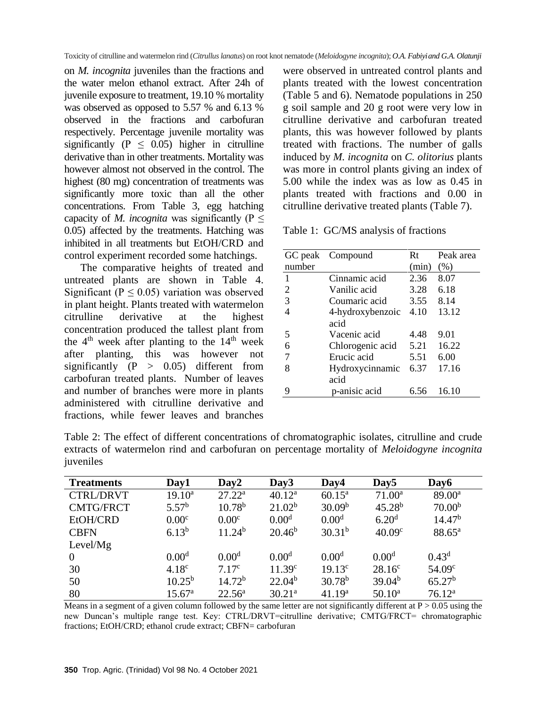on *M. incognita* juveniles than the fractions and the water melon ethanol extract. After 24h of juvenile exposure to treatment, 19.10 % mortality was observed as opposed to 5.57 % and 6.13 % observed in the fractions and carbofuran respectively. Percentage juvenile mortality was significantly ( $P \leq 0.05$ ) higher in citrulline derivative than in other treatments. Mortality was however almost not observed in the control. The highest (80 mg) concentration of treatments was significantly more toxic than all the other concentrations. From Table 3, egg hatching capacity of *M. incognita* was significantly ( $P \leq$ 0.05) affected by the treatments. Hatching was inhibited in all treatments but EtOH/CRD and control experiment recorded some hatchings.

The comparative heights of treated and untreated plants are shown in Table 4. Significant ( $P \leq 0.05$ ) variation was observed in plant height. Plants treated with watermelon citrulline derivative at the highest concentration produced the tallest plant from the  $4<sup>th</sup>$  week after planting to the  $14<sup>th</sup>$  week after planting, this was however not significantly  $(P > 0.05)$  different from carbofuran treated plants. Number of leaves and number of branches were more in plants administered with citrulline derivative and fractions, while fewer leaves and branches

were observed in untreated control plants and plants treated with the lowest concentration (Table 5 and 6). Nematode populations in 250 g soil sample and 20 g root were very low in citrulline derivative and carbofuran treated plants, this was however followed by plants treated with fractions. The number of galls induced by *M. incognita* on *C. olitorius* plants was more in control plants giving an index of 5.00 while the index was as low as 0.45 in plants treated with fractions and 0.00 in citrulline derivative treated plants (Table 7).

Table 1: GC/MS analysis of fractions

|                | GC peak Compound | Rt    | Peak area |
|----------------|------------------|-------|-----------|
| number         |                  | (min) | (% )      |
| 1              | Cinnamic acid    | 2.36  | 8.07      |
| $\overline{2}$ | Vanilic acid     | 3.28  | 6.18      |
| 3              | Coumaric acid    | 3.55  | 8.14      |
|                | 4-hydroxybenzoic | 4.10  | 13.12     |
|                | acid             |       |           |
| 5              | Vacenic acid     | 4.48  | 9.01      |
| 6              | Chlorogenic acid | 5.21  | 16.22     |
|                | Erucic acid      | 5.51  | 6.00      |
| 8              | Hydroxycinnamic  | 6.37  | 17.16     |
|                | acid             |       |           |
| 9              | p-anisic acid    | 6.56  | 16.10     |

Table 2: The effect of different concentrations of chromatographic isolates, citrulline and crude extracts of watermelon rind and carbofuran on percentage mortality of *Meloidogyne incognita*  juveniles

| <b>Treatments</b> | Day1               | Day <sub>2</sub>   | Day3               | Day4               | Day <sub>5</sub>   | Day6               |
|-------------------|--------------------|--------------------|--------------------|--------------------|--------------------|--------------------|
| <b>CTRL/DRVT</b>  | $19.10^a$          | $27.22^a$          | $40.12^a$          | $60.15^a$          | $71.00^a$          | $89.00^a$          |
| <b>CMTG/FRCT</b>  | 5.57 <sup>b</sup>  | $10.78^{b}$        | 21.02 <sup>b</sup> | 30.09 <sup>b</sup> | $45.28^{b}$        | 70.00 <sup>b</sup> |
| EtOH/CRD          | 0.00 <sup>c</sup>  | 0.00 <sup>c</sup>  | 0.00 <sup>d</sup>  | 0.00 <sup>d</sup>  | 6.20 <sup>d</sup>  | 14.47 <sup>b</sup> |
| <b>CBFN</b>       | $6.13^{b}$         | 11.24 <sup>b</sup> | $20.46^b$          | $30.31^{b}$        | 40.09 <sup>c</sup> | $88.65^{\rm a}$    |
| Level/ $Mg$       |                    |                    |                    |                    |                    |                    |
| $\overline{0}$    | 0.00 <sup>d</sup>  | 0.00 <sup>d</sup>  | 0.00 <sup>d</sup>  | $0.00^d$           | 0.00 <sup>d</sup>  | $0.43^d$           |
| 30                | 4.18 <sup>c</sup>  | 7.17 <sup>c</sup>  | 11.39 <sup>c</sup> | $19.13^c$          | $28.16^c$          | 54.09 <sup>c</sup> |
| 50                | $10.25^{\rm b}$    | 14.72 <sup>b</sup> | $22.04^b$          | $30.78^{b}$        | 39.04 <sup>b</sup> | 65.27 <sup>b</sup> |
| 80                | 15.67 <sup>a</sup> | $22.56^a$          | 30.21 <sup>a</sup> | 41.19 <sup>a</sup> | $50.10^a$          | 76.12 <sup>a</sup> |

Means in a segment of a given column followed by the same letter are not significantly different at  $P > 0.05$  using the new Duncan's multiple range test. Key: CTRL/DRVT=citrulline derivative; CMTG/FRCT= chromatographic fractions; EtOH/CRD; ethanol crude extract; CBFN= carbofuran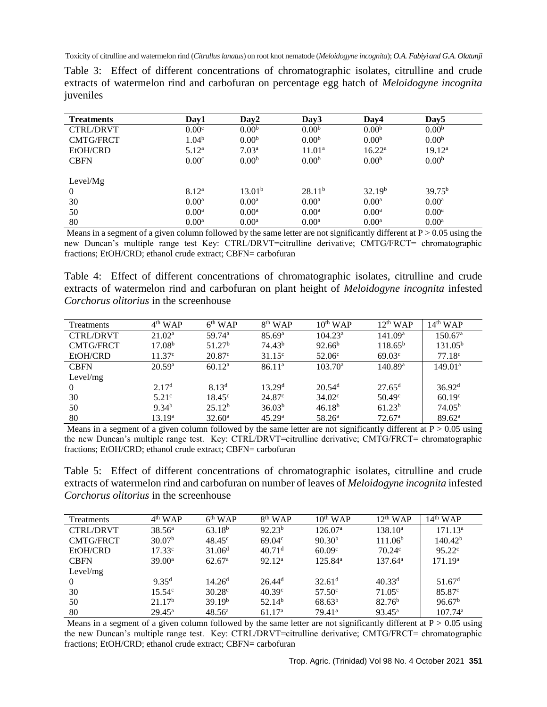| Table 3: Effect of different concentrations of chromatographic isolates, citrulline and crude      |  |  |  |  |  |  |  |
|----------------------------------------------------------------------------------------------------|--|--|--|--|--|--|--|
| extracts of watermelon rind and carbofuran on percentage egg hatch of <i>Meloidogyne incognita</i> |  |  |  |  |  |  |  |
| juveniles                                                                                          |  |  |  |  |  |  |  |

| <b>Treatments</b> | Day1              | Day2               | Day3               | Day4               | Day <sub>5</sub>   |
|-------------------|-------------------|--------------------|--------------------|--------------------|--------------------|
| <b>CTRL/DRVT</b>  | 0.00 <sup>c</sup> | 0.00 <sup>b</sup>  | 0.00 <sup>b</sup>  | 0.00 <sup>b</sup>  | 0.00 <sup>b</sup>  |
| <b>CMTG/FRCT</b>  | 1.04 <sup>b</sup> | 0.00 <sup>b</sup>  | 0.00 <sup>b</sup>  | 0.00 <sup>b</sup>  | 0.00 <sup>b</sup>  |
| EtOH/CRD          | 5.12 <sup>a</sup> | 7.03 <sup>a</sup>  | 11.01 <sup>a</sup> | $16.22^a$          | 19.12 <sup>a</sup> |
| <b>CBFN</b>       | 0.00 <sup>c</sup> | 0.00 <sup>b</sup>  | 0.00 <sup>b</sup>  | 0.00 <sup>b</sup>  | 0.00 <sup>b</sup>  |
| Level/ $Mg$       |                   |                    |                    |                    |                    |
| $\mathbf{0}$      | 8.12 <sup>a</sup> | 13.01 <sup>b</sup> | 28.11 <sup>b</sup> | 32.19 <sup>b</sup> | $39.75^{b}$        |
| 30                | 0.00 <sup>a</sup> | $0.00^{\rm a}$     | $0.00^{\rm a}$     | $0.00^{\rm a}$     | $0.00^{\rm a}$     |
| 50                | $0.00^{\rm a}$    | $0.00^{\rm a}$     | $0.00^{\rm a}$     | $0.00^{\rm a}$     | $0.00^{\rm a}$     |
| 80                | 0.00 <sup>a</sup> | 0.00 <sup>a</sup>  | 0.00 <sup>a</sup>  | 0.00 <sup>a</sup>  | 0.00 <sup>a</sup>  |

Means in a segment of a given column followed by the same letter are not significantly different at  $P > 0.05$  using the new Duncan's multiple range test Key: CTRL/DRVT=citrulline derivative; CMTG/FRCT= chromatographic fractions; EtOH/CRD; ethanol crude extract; CBFN= carbofuran

Table 4: Effect of different concentrations of chromatographic isolates, citrulline and crude extracts of watermelon rind and carbofuran on plant height of *Meloidogyne incognita* infested *Corchorus olitorius* in the screenhouse

| <b>Treatments</b> | $4th$ WAP          | $6th$ WAP            | $8th$ WAP          | $10^{th}$ WAP        | $12^{th}$ WAP       | $14th$ WAP          |
|-------------------|--------------------|----------------------|--------------------|----------------------|---------------------|---------------------|
| <b>CTRL/DRVT</b>  | 21.02 <sup>a</sup> | $59.74$ <sup>a</sup> | 85.69 <sup>a</sup> | 104.23 <sup>a</sup>  | 141.09 <sup>a</sup> | $150.67^{\rm a}$    |
| <b>CMTG/FRCT</b>  | 17.08 <sup>b</sup> | 51.27 <sup>b</sup>   | 74.43 <sup>b</sup> | $92.66^{b}$          | $118.65^{\rm b}$    | $131.05^{\rm b}$    |
| EtOH/CRD          | 11.37 <sup>c</sup> | $20.87^{\circ}$      | $31.15^{\circ}$    | 52.06 <sup>c</sup>   | $69.03^{\circ}$     | 77.18 <sup>c</sup>  |
| <b>CBFN</b>       | $20.59^{\rm a}$    | 60.12 <sup>a</sup>   | 86.11 <sup>a</sup> | $103.70^{\circ}$     | 140.89 <sup>a</sup> | 149.01 <sup>a</sup> |
| Level/mg          |                    |                      |                    |                      |                     |                     |
| $\Omega$          | 2.17 <sup>d</sup>  | $8.13^{d}$           | 13.29 <sup>d</sup> | $20.54$ <sup>d</sup> | $27.65^{\rm d}$     | 36.92 <sup>d</sup>  |
| 30                | 5.21c              | $18.45^{\circ}$      | $24.87^{\circ}$    | $34.02^{\circ}$      | $50.49^{\circ}$     | 60.19 <sup>c</sup>  |
| 50                | 9.34 <sup>b</sup>  | 25.12 <sup>b</sup>   | 36.03 <sup>b</sup> | $46.18^{b}$          | 61.23 <sup>b</sup>  | 74.05 <sup>b</sup>  |
| 80                | 13.19 <sup>a</sup> | 32.60 <sup>a</sup>   | 45.29 <sup>a</sup> | 58.26 <sup>a</sup>   | 72.67 <sup>a</sup>  | 89.62 <sup>a</sup>  |

Means in a segment of a given column followed by the same letter are not significantly different at  $P > 0.05$  using the new Duncan's multiple range test. Key: CTRL/DRVT=citrulline derivative; CMTG/FRCT= chromatographic fractions; EtOH/CRD; ethanol crude extract; CBFN= carbofuran

Table 5: Effect of different concentrations of chromatographic isolates, citrulline and crude extracts of watermelon rind and carbofuran on number of leaves of *Meloidogyne incognita* infested *Corchorus olitorius* in the screenhouse

| <b>Treatments</b> | $4th$ WAP          | $6th$ WAP          | $8th$ WAP          | $10^{th}$ WAP      | $12th$ WAP          | $14th$ WAP          |
|-------------------|--------------------|--------------------|--------------------|--------------------|---------------------|---------------------|
| <b>CTRL/DRVT</b>  | $38.56^{\circ}$    | 63.18 <sup>b</sup> | 92.23 <sup>b</sup> | $126.07^{\rm a}$   | $138.10^a$          | 171.13 <sup>a</sup> |
| <b>CMTG/FRCT</b>  | 30.07 <sup>b</sup> | $48.45^{\circ}$    | $69.04^{\circ}$    | 90.30 <sup>b</sup> | 111.06 <sup>b</sup> | 140.42 <sup>b</sup> |
| EtOH/CRD          | $17.33^{\circ}$    | 31.06 <sup>d</sup> | 40.71 <sup>d</sup> | $60.09^{\circ}$    | 70.24c              | $95.22^{\circ}$     |
| <b>CBFN</b>       | 39.00 <sup>a</sup> | 62.67 <sup>a</sup> | 92.12 <sup>a</sup> | $125.84^{\rm a}$   | $137.64^{\rm a}$    | 171.19 <sup>a</sup> |
| Level/mg          |                    |                    |                    |                    |                     |                     |
| $\Omega$          | $9.35^d$           | $14.26^{\rm d}$    | $26.44^{\rm d}$    | 32.61 <sup>d</sup> | $40.33^{d}$         | 51.67 <sup>d</sup>  |
| 30                | $15.54^{\circ}$    | $30.28^{\circ}$    | $40.39^{\circ}$    | $57.50^{\circ}$    | $71.05^{\circ}$     | 85.87 <sup>c</sup>  |
| 50                | 21.17 <sup>b</sup> | 39.19 <sup>b</sup> | 52.14 <sup>b</sup> | $68.63^{b}$        | $82.76^{b}$         | 96.67 <sup>b</sup>  |
| 80                | $29.45^{\rm a}$    | $48.56^{\rm a}$    | 61.17 <sup>a</sup> | $79.41^{\rm a}$    | $93.45^{\rm a}$     | $107.74^{\rm a}$    |

Means in a segment of a given column followed by the same letter are not significantly different at  $P > 0.05$  using the new Duncan's multiple range test. Key: CTRL/DRVT=citrulline derivative; CMTG/FRCT= chromatographic fractions; EtOH/CRD; ethanol crude extract; CBFN= carbofuran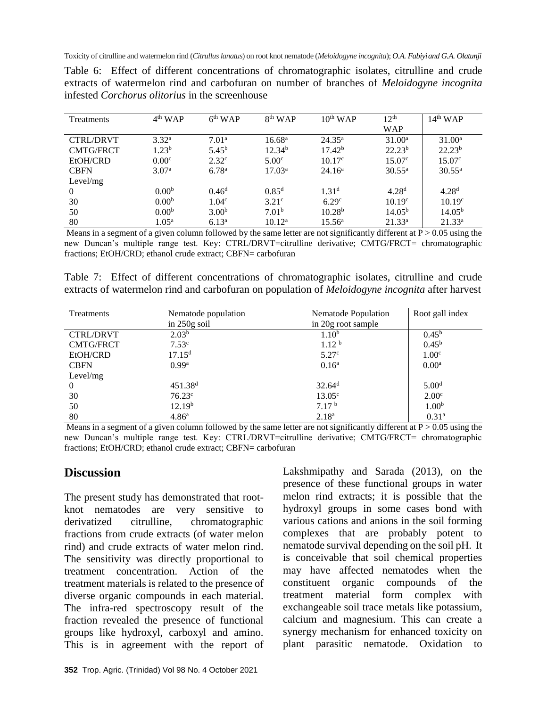| Treatments       | $4th$ WAP         | $6th$ WAP         | $8th$ WAP          | $10^{th}$ WAP      | 12 <sup>th</sup>   | $14th$ WAP         |
|------------------|-------------------|-------------------|--------------------|--------------------|--------------------|--------------------|
|                  |                   |                   |                    |                    | <b>WAP</b>         |                    |
| <b>CTRL/DRVT</b> | 3.32 <sup>a</sup> | 7.01 <sup>a</sup> | 16.68 <sup>a</sup> | $24.35^{\rm a}$    | $31.00^a$          | $31.00^a$          |
| <b>CMTG/FRCT</b> | 1.23 <sup>b</sup> | $5.45^{\rm b}$    | 12.34 <sup>b</sup> | 17.42 <sup>b</sup> | 22.23 <sup>b</sup> | $22.23^{b}$        |
| EtOH/CRD         | 0.00 <sup>c</sup> | 2.32 <sup>c</sup> | $5.00^{\circ}$     | $10.17^{\circ}$    | $15.07^{\circ}$    | $15.07^{\circ}$    |
| <b>CBFN</b>      | 3.07 <sup>a</sup> | 6.78 <sup>a</sup> | 17.03 <sup>a</sup> | $24.16^{\rm a}$    | $30.55^{\rm a}$    | $30.55^{\rm a}$    |
| Level/mg         |                   |                   |                    |                    |                    |                    |
| 0                | 0.00 <sup>b</sup> | $0.46^d$          | $0.85^d$           | 1.31 <sup>d</sup>  | 4.28 <sup>d</sup>  | 4.28 <sup>d</sup>  |
| 30               | 0.00 <sup>b</sup> | 1.04 <sup>c</sup> | 3.21 <sup>c</sup>  | 6.29 <sup>c</sup>  | 10.19 <sup>c</sup> | 10.19 <sup>c</sup> |
| 50               | 0.00 <sup>b</sup> | 3.00 <sup>b</sup> | 7.01 <sup>b</sup>  | 10.28 <sup>b</sup> | 14.05 <sup>b</sup> | 14.05 <sup>b</sup> |
| 80               | $1.05^{\rm a}$    | $6.13^{\rm a}$    | $10.12^a$          | $15.56^{\circ}$    | $21.33^a$          | $21.33^a$          |

Table 6: Effect of different concentrations of chromatographic isolates, citrulline and crude extracts of watermelon rind and carbofuran on number of branches of *Meloidogyne incognita*  infested *Corchorus olitorius* in the screenhouse

Means in a segment of a given column followed by the same letter are not significantly different at  $P > 0.05$  using the new Duncan's multiple range test. Key: CTRL/DRVT=citrulline derivative; CMTG/FRCT= chromatographic fractions; EtOH/CRD; ethanol crude extract; CBFN= carbofuran

Table 7: Effect of different concentrations of chromatographic isolates, citrulline and crude extracts of watermelon rind and carbofuran on population of *Meloidogyne incognita* after harvest

| Treatments       | Nematode population | Nematode Population | Root gall index   |
|------------------|---------------------|---------------------|-------------------|
|                  | in $250g$ soil      | in 20g root sample  |                   |
| <b>CTRL/DRVT</b> | 2.03 <sup>b</sup>   | 1.10 <sup>b</sup>   | $0.45^{\rm b}$    |
| <b>CMTG/FRCT</b> | $7.53^{\circ}$      | 1.12 <sup>b</sup>   | $0.45^{\rm b}$    |
| EtOH/CRD         | 17.15 <sup>d</sup>  | 5.27 <sup>c</sup>   | 1.00 <sup>c</sup> |
| <b>CBFN</b>      | 0.99 <sup>a</sup>   | $0.16^{\rm a}$      | $0.00^{\rm a}$    |
| Level/mg         |                     |                     |                   |
| $\theta$         | 451.38 <sup>d</sup> | 32.64 <sup>d</sup>  | 5.00 <sup>d</sup> |
| 30               | 76.23 <sup>c</sup>  | $13.05^{\circ}$     | 2.00 <sup>c</sup> |
| 50               | 12.19 <sup>b</sup>  | 7.17 <sup>b</sup>   | 1.00 <sup>b</sup> |
| 80               | 4.86 <sup>a</sup>   | 2.18 <sup>a</sup>   | 0.31 <sup>a</sup> |

Means in a segment of a given column followed by the same letter are not significantly different at  $P > 0.05$  using the new Duncan's multiple range test. Key: CTRL/DRVT=citrulline derivative; CMTG/FRCT= chromatographic fractions; EtOH/CRD; ethanol crude extract; CBFN= carbofuran

## **Discussion**

The present study has demonstrated that rootknot nematodes are very sensitive to derivatized citrulline, chromatographic fractions from crude extracts (of water melon rind) and crude extracts of water melon rind. The sensitivity was directly proportional to treatment concentration. Action of the treatment materials is related to the presence of diverse organic compounds in each material. The infra-red spectroscopy result of the fraction revealed the presence of functional groups like hydroxyl, carboxyl and amino. This is in agreement with the report of

**352** Trop. Agric. (Trinidad) Vol 98 No. 4 October 2021

Lakshmipathy and Sarada (2013), on the presence of these functional groups in water melon rind extracts; it is possible that the hydroxyl groups in some cases bond with various cations and anions in the soil forming complexes that are probably potent to nematode survival depending on the soil pH. It is conceivable that soil chemical properties may have affected nematodes when the constituent organic compounds of the treatment material form complex with exchangeable soil trace metals like potassium, calcium and magnesium. This can create a synergy mechanism for enhanced toxicity on plant parasitic nematode. Oxidation to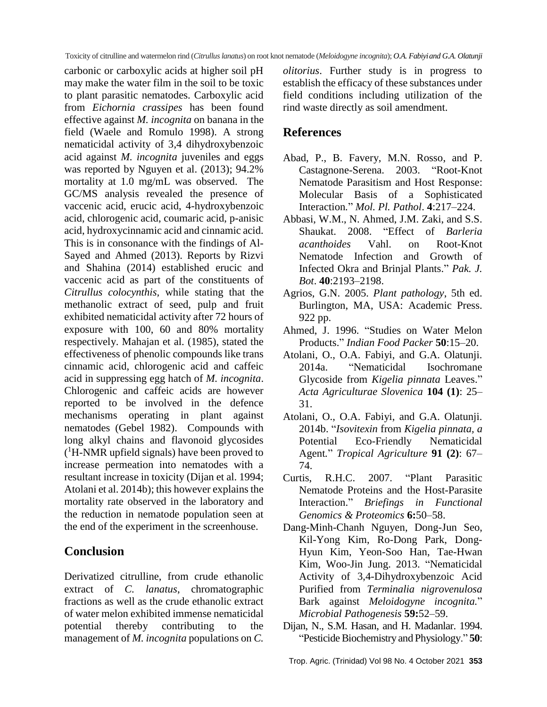carbonic or carboxylic acids at higher soil pH may make the water film in the soil to be toxic to plant parasitic nematodes. Carboxylic acid from *Eichornia crassipes* has been found effective against *M. incognita* on banana in the field (Waele and Romulo 1998). A strong nematicidal activity of 3,4 dihydroxybenzoic acid against *M. incognita* juveniles and eggs was reported by Nguyen et al. (2013); 94.2% mortality at 1.0 mg/mL was observed.The GC/MS analysis revealed the presence of vaccenic acid, erucic acid, 4-hydroxybenzoic acid, chlorogenic acid, coumaric acid, p-anisic acid, hydroxycinnamic acid and cinnamic acid. This is in consonance with the findings of Al-Sayed and Ahmed (2013). Reports by Rizvi and Shahina (2014) established erucic and vaccenic acid as part of the constituents of *Citrullus colocynthis,* while stating that the methanolic extract of seed, pulp and fruit exhibited nematicidal activity after 72 hours of exposure with 100, 60 and 80% mortality respectively. Mahajan et al. (1985), stated the effectiveness of phenolic compounds like trans cinnamic acid, chlorogenic acid and caffeic acid in suppressing egg hatch of *M. incognita*. Chlorogenic and caffeic acids are however reported to be involved in the defence mechanisms operating in plant against nematodes (Gebel 1982). Compounds with long alkyl chains and flavonoid glycosides ( <sup>1</sup>H-NMR upfield signals) have been proved to increase permeation into nematodes with a resultant increase in toxicity (Dijan et al. 1994; Atolani et al. 2014b); this however explains the mortality rate observed in the laboratory and the reduction in nematode population seen at the end of the experiment in the screenhouse.

## **Conclusion**

Derivatized citrulline, from crude ethanolic extract of *C. lanatus*, chromatographic fractions as well as the crude ethanolic extract of water melon exhibited immense nematicidal potential thereby contributing to the management of *M. incognita* populations on *C.* 

*olitorius*. Further study is in progress to establish the efficacy of these substances under field conditions including utilization of the rind waste directly as soil amendment.

## **References**

- Abad, P., B. Favery, M.N. Rosso, and P. Castagnone-Serena. 2003. "Root-Knot Nematode Parasitism and Host Response: Molecular Basis of a Sophisticated Interaction*.*" *Mol. Pl. Pathol*. **4**:217–224.
- Abbasi, W.M., N. Ahmed, J.M. Zaki, and S.S. Shaukat. 2008. "Effect of *Barleria acanthoides* Vahl. on Root-Knot Nematode Infection and Growth of Infected Okra and Brinjal Plants." *Pak. J. Bot*. **40**:2193–2198.
- Agrios, G.N. 2005. *Plant pathology*, 5th ed. Burlington, MA, USA: Academic Press. 922 pp.
- Ahmed, J. 1996. "Studies on Water Melon Products." *Indian Food Packer* **50**:15–20.
- Atolani, O., O.A. Fabiyi, and G.A. Olatunji. 2014a. "Nematicidal Isochromane Glycoside from *Kigelia pinnata* Leaves." *Acta Agriculturae Slovenica* **104 (1)**: 25– 31.
- Atolani, O., O.A. Fabiyi, and G.A. Olatunji. 2014b. "*Isovitexin* from *Kigelia pinnata, a*  Potential Eco-Friendly Nematicidal Agent*.*" *Tropical Agriculture* **91 (2)**: 67– 74.
- Curtis, R.H.C. 2007. "Plant Parasitic Nematode Proteins and the Host-Parasite Interaction." *Briefings in Functional Genomics & Proteomics* **6:**50–58.
- [Dang-Minh-Chanh Nguyen,](https://www.infona.pl/contributor/0@bwmeta1.element.elsevier-8c8395ae-8ae9-36fa-ab8c-431a5b00539f/tab/publications) [Dong-Jun Seo,](https://www.infona.pl/contributor/1@bwmeta1.element.elsevier-8c8395ae-8ae9-36fa-ab8c-431a5b00539f/tab/publications) [Kil-Yong Kim,](https://www.infona.pl/contributor/2@bwmeta1.element.elsevier-8c8395ae-8ae9-36fa-ab8c-431a5b00539f/tab/publications) [Ro-Dong Park,](https://www.infona.pl/contributor/3@bwmeta1.element.elsevier-8c8395ae-8ae9-36fa-ab8c-431a5b00539f/tab/publications) [Dong-](https://www.infona.pl/contributor/4@bwmeta1.element.elsevier-8c8395ae-8ae9-36fa-ab8c-431a5b00539f/tab/publications)[Hyun Kim,](https://www.infona.pl/contributor/4@bwmeta1.element.elsevier-8c8395ae-8ae9-36fa-ab8c-431a5b00539f/tab/publications) [Yeon-Soo Han,](https://www.infona.pl/contributor/5@bwmeta1.element.elsevier-8c8395ae-8ae9-36fa-ab8c-431a5b00539f/tab/publications) [Tae-Hwan](https://www.infona.pl/contributor/6@bwmeta1.element.elsevier-8c8395ae-8ae9-36fa-ab8c-431a5b00539f/tab/publications)  [Kim,](https://www.infona.pl/contributor/6@bwmeta1.element.elsevier-8c8395ae-8ae9-36fa-ab8c-431a5b00539f/tab/publications) [Woo-Jin Jung.](https://www.infona.pl/contributor/7@bwmeta1.element.elsevier-8c8395ae-8ae9-36fa-ab8c-431a5b00539f/tab/publications) 2013. "Nematicidal Activity of 3,4-Dihydroxybenzoic Acid Purified from *Terminalia nigrovenulosa* Bark against *Meloidogyne incognita.*" *Microbial Pathogenesis* **59:**52–59.
- Dijan, N., S.M. Hasan, and H. Madanlar. 1994. "Pesticide Biochemistry and Physiology." **50**: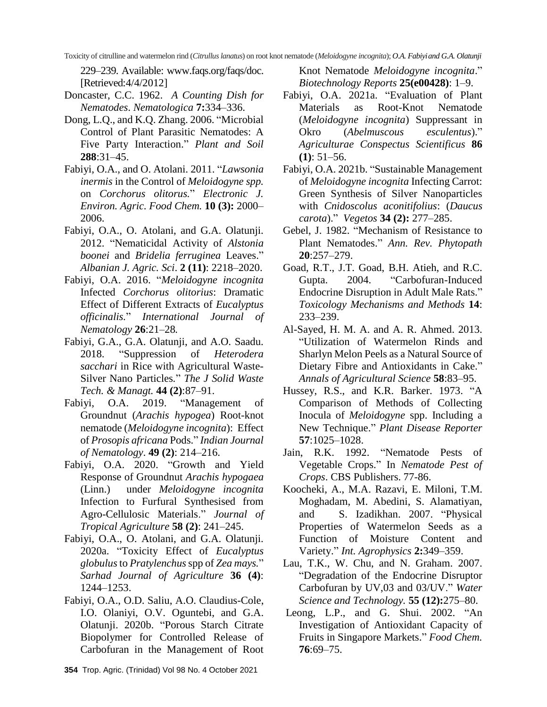229–239. Available: [www.faqs.org/faqs/doc.](http://www.faqs.org/faqs/doc.%20%5bRetrieved)  [\[Retrieved:](http://www.faqs.org/faqs/doc.%20%5bRetrieved)4/4/2012]

- Doncaster, C.C. 1962. *A Counting Dish for Nematodes*. *Nematologica* **7:**334–336.
- Dong, L.Q., and K.Q. Zhang. 2006. "Microbial Control of Plant Parasitic Nematodes: A Five Party Interaction." *Plant and Soil* **288**:31–45.
- Fabiyi, O.A., and O. Atolani. 2011. "*Lawsonia inermis* in the Control of *Meloidogyne spp.*  on *Corchorus olitorus.*" *Electronic J. Environ. Agric. Food Chem.* **10 (3):** 2000– 2006.
- Fabiyi, O.A., O. Atolani, and G.A. Olatunji. 2012. "Nematicidal Activity of *Alstonia boonei* and *Bridelia ferruginea* Leaves." *Albanian J. Agric. Sci*. **2 (11)**: 2218–2020.
- Fabiyi, O.A. 2016. "*Meloidogyne incognita*  Infected *Corchorus olitorius*: Dramatic Effect of Different Extracts of *Eucalyptus officinalis.*" *International Journal of Nematology* **26**:21–28*.*
- Fabiyi, G.A., G.A. Olatunji, and A.O. Saadu. 2018. "Suppression of *Heterodera sacchari* in Rice with Agricultural Waste-Silver Nano Particles*.*" *The J Solid Waste Tech. & Managt.* **44 (2)**:87–91.
- Fabiyi, O.A. 2019. "Management of Groundnut (*Arachis hypogea*) Root-knot nematode (*Meloidogyne incognita*): Effect of *Prosopis africana* Pods." *Indian Journal of Nematology*. **49 (2)**: 214–216.
- Fabiyi, O.A. 2020. "Growth and Yield Response of Groundnut *Arachis hypogaea*  (Linn.) under *Meloidogyne incognita* Infection to Furfural Synthesised from Agro-Cellulosic Materials." *Journal of Tropical Agriculture* **58 (2)**: 241–245.
- Fabiyi, O.A., O. Atolani, and G.A. Olatunji. 2020a. "Toxicity Effect of *Eucalyptus globulus*to *Pratylenchus*spp of *Zea mays.*" *Sarhad Journal of Agriculture* **36 (4)**: 1244–1253.
- Fabiyi, O.A., O.D. Saliu, A.O. Claudius-Cole, I.O. Olaniyi, O.V. Oguntebi, and G.A. Olatunji. 2020b. "Porous Starch Citrate Biopolymer for Controlled Release of Carbofuran in the Management of Root

Knot Nematode *Meloidogyne incognita*." *Biotechnology Reports* **25(e00428)**: 1–9.

- Fabiyi, O.A. 2021a. "Evaluation of Plant Materials as Root-Knot Nematode (*Meloidogyne incognita*) Suppressant in Okro (*Abelmuscous esculentus*)." *Agriculturae Conspectus Scientificus* **86 (1)**: 51–56.
- Fabiyi, O.A. 2021b. "Sustainable Management of *Meloidogyne incognita* Infecting Carrot: Green Synthesis of Silver Nanoparticles with *Cnidoscolus aconitifolius*: (*Daucus carota*)." *Vegetos* **34 (2):** 277–285.
- Gebel, J. 1982. "Mechanism of Resistance to Plant Nematodes." *Ann. Rev. Phytopath* **20**:257–279.
- Goad, R.T., J.T. Goad, B.H. Atieh, and R.C. Gupta. 2004. "Carbofuran-Induced Endocrine Disruption in Adult Male Rats." *Toxicology Mechanisms and Methods* **14**: 233–239.
- Al-Sayed, H. M. A. and A. R. Ahmed. 2013. "Utilization of Watermelon Rinds and Sharlyn Melon Peels as a Natural Source of Dietary Fibre and Antioxidants in Cake." *Annals of Agricultural Science* **58**:83–95.
- Hussey, R.S., and K.R. Barker. 1973. "A Comparison of Methods of Collecting Inocula of *Meloidogyne* spp. Including a New Technique." *Plant Disease Reporter* **57**:1025–1028.
- Jain, R.K. 1992. "Nematode Pests of Vegetable Crops." In *Nematode Pest of Crops*. CBS Publishers. 77-86.
- Koocheki, A., M.A. Razavi, E. Miloni, T.M. Moghadam, M. Abedini, S. Alamatiyan, and S. Izadikhan. 2007. "Physical Properties of Watermelon Seeds as a Function of Moisture Content and Variety." *Int. Agrophysics* **2:**349–359.
- Lau, T.K., W. Chu, and N. Graham. 2007. "Degradation of the Endocrine Disruptor Carbofuran by UV,03 and 03/UV." *Water Science and Technology.* **55 (12):**275–80.
- Leong, L.P., and G. Shui. 2002. "An Investigation of Antioxidant Capacity of Fruits in Singapore Markets." *Food Chem.* **76**:69–75.